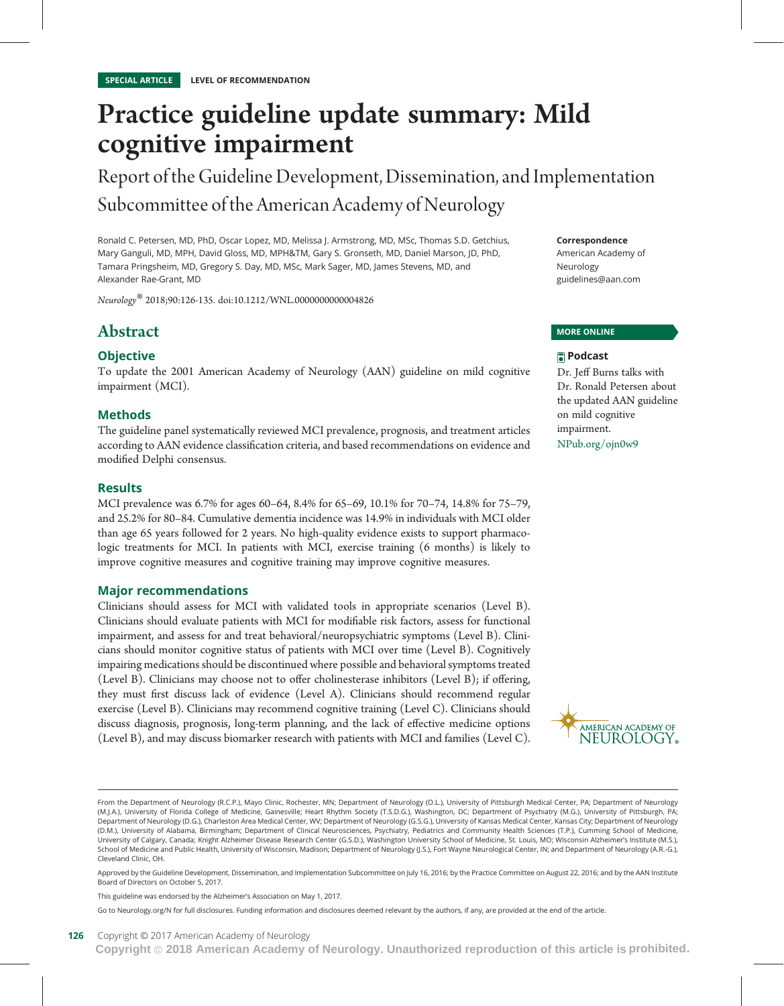# Practice guideline update summary: Mild cognitive impairment

## Report of the Guideline Development, Dissemination, and Implementation Subcommittee of the American Academy of Neurology

Ronald C. Petersen, MD, PhD, Oscar Lopez, MD, Melissa J. Armstrong, MD, MSc, Thomas S.D. Getchius, Mary Ganguli, MD, MPH, David Gloss, MD, MPH&TM, Gary S. Gronseth, MD, Daniel Marson, JD, PhD, Tamara Pringsheim, MD, Gregory S. Day, MD, MSc, Mark Sager, MD, James Stevens, MD, and Alexander Rae-Grant, MD

Neurology® 2018;90:126-135. doi:10.1212/WNL.0000000000004826

## Abstract

#### **Objective**

To update the 2001 American Academy of Neurology (AAN) guideline on mild cognitive impairment (MCI).

#### Methods

The guideline panel systematically reviewed MCI prevalence, prognosis, and treatment articles according to AAN evidence classification criteria, and based recommendations on evidence and modified Delphi consensus.

#### Results

MCI prevalence was 6.7% for ages 60–64, 8.4% for 65–69, 10.1% for 70–74, 14.8% for 75–79, and 25.2% for 80–84. Cumulative dementia incidence was 14.9% in individuals with MCI older than age 65 years followed for 2 years. No high-quality evidence exists to support pharmacologic treatments for MCI. In patients with MCI, exercise training (6 months) is likely to improve cognitive measures and cognitive training may improve cognitive measures.

#### Major recommendations

Clinicians should assess for MCI with validated tools in appropriate scenarios (Level B). Clinicians should evaluate patients with MCI for modifiable risk factors, assess for functional impairment, and assess for and treat behavioral/neuropsychiatric symptoms (Level B). Clinicians should monitor cognitive status of patients with MCI over time (Level B). Cognitively impairing medications should be discontinued where possible and behavioral symptoms treated (Level B). Clinicians may choose not to offer cholinesterase inhibitors (Level B); if offering, they must first discuss lack of evidence (Level A). Clinicians should recommend regular exercise (Level B). Clinicians may recommend cognitive training (Level C). Clinicians should discuss diagnosis, prognosis, long-term planning, and the lack of effective medicine options (Level B), and may discuss biomarker research with patients with MCI and families (Level C).

#### Correspondence

American Academy of Neurology [guidelines@aan.com](mailto:guidelines@aan.com)

#### MORE ONLINE

#### **Podcast**

Dr. Jeff Burns talks with Dr. Ronald Petersen about the updated AAN guideline on mild cognitive impairment.

[NPub.org/ojn0w9](http://NPub.org/ojn0w9)



Go to [Neurology.org/N](http://n.neurology.org/lookup/doi/10.1212/WNL.0000000000004826) for full disclosures. Funding information and disclosures deemed relevant by the authors, if any, are provided at the end of the article.

**Copyright 201 American Academy of Neurology. Unauthorized reproduction of this article is** dªfdr **8 prohibited.**

From the Department of Neurology (R.C.P.), Mayo Clinic, Rochester, MN; Department of Neurology (O.L.), University of Pittsburgh Medical Center, PA; Department of Neurology (M.J.A.), University of Florida College of Medicine, Gainesville; Heart Rhythm Society (T.S.D.G.), Washington, DC; Department of Psychiatry (M.G.), University of Pittsburgh, PA; Department of Neurology (D.G.), Charleston Area Medical Center, WV; Department of Neurology (G.S.G.), University of Kansas Medical Center, Kansas City; Department of Neurology (D.M.), University of Alabama, Birmingham; Department of Clinical Neurosciences, Psychiatry, Pediatrics and Community Health Sciences (T.P.), Cumming School of Medicine, University of Calgary, Canada; Knight Alzheimer Disease Research Center (G.S.D.), Washington University School of Medicine, St. Louis, MO; Wisconsin Alzheimer's Institute (M.S.), School of Medicine and Public Health, University of Wisconsin, Madison; Department of Neurology (J.S.), Fort Wayne Neurological Center, IN; and Department of Neurology (A.R.-G.), Cleveland Clinic, OH.

Approved by the Guideline Development, Dissemination, and Implementation Subcommittee on July 16, 2016; by the Practice Committee on August 22, 2016; and by the AAN Institute Board of Directors on October 5, 2017.

This guideline was endorsed by the Alzheimer's Association on May 1, 2017.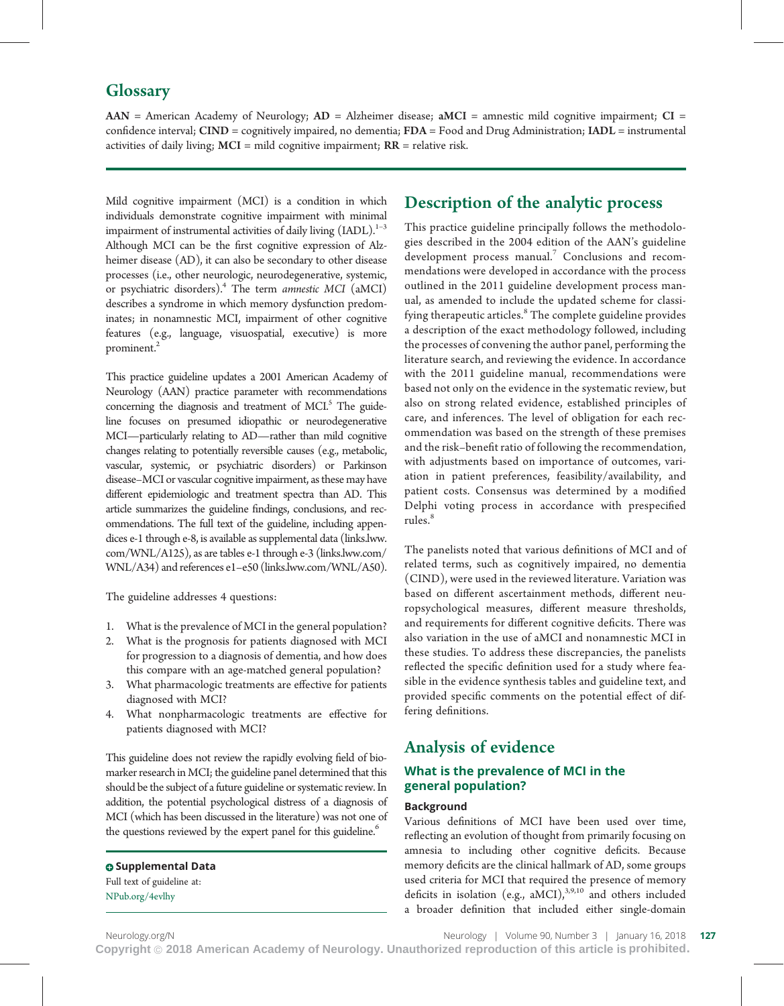## **Glossary**

 $AAN =$  American Academy of Neurology;  $AD =$  Alzheimer disease;  $aMCI =$  amnestic mild cognitive impairment;  $CI =$ confidence interval; CIND = cognitively impaired, no dementia; FDA = Food and Drug Administration; IADL = instrumental activities of daily living;  $MCI =$  mild cognitive impairment;  $RR =$  relative risk.

Mild cognitive impairment (MCI) is a condition in which individuals demonstrate cognitive impairment with minimal impairment of instrumental activities of daily living  $(IADL)^{1-3}$ Although MCI can be the first cognitive expression of Alzheimer disease (AD), it can also be secondary to other disease processes (i.e., other neurologic, neurodegenerative, systemic, or psychiatric disorders). $4$  The term amnestic MCI (aMCI) describes a syndrome in which memory dysfunction predominates; in nonamnestic MCI, impairment of other cognitive features (e.g., language, visuospatial, executive) is more prominent.<sup>2</sup>

This practice guideline updates a 2001 American Academy of Neurology (AAN) practice parameter with recommendations concerning the diagnosis and treatment of MCI.<sup>5</sup> The guideline focuses on presumed idiopathic or neurodegenerative MCI—particularly relating to AD—rather than mild cognitive changes relating to potentially reversible causes (e.g., metabolic, vascular, systemic, or psychiatric disorders) or Parkinson disease–MCI or vascular cognitive impairment, as these may have different epidemiologic and treatment spectra than AD. This article summarizes the guideline findings, conclusions, and recommendations. The full text of the guideline, including appendices e-1 through e-8, is available as supplemental data [\(links.lww.](http://links.lww.com/WNL/A125) [com/WNL/A125\)](http://links.lww.com/WNL/A125), as are tables e-1 through e-3 [\(links.lww.com/](http://links.lww.com/WNL/A34) [WNL/A34](http://links.lww.com/WNL/A34)) and references e1–e50 [\(links.lww.com/WNL/A50\)](http://links.lww.com/WNL/A50).

The guideline addresses 4 questions:

- 1. What is the prevalence of MCI in the general population?
- 2. What is the prognosis for patients diagnosed with MCI for progression to a diagnosis of dementia, and how does this compare with an age-matched general population?
- 3. What pharmacologic treatments are effective for patients diagnosed with MCI?
- 4. What nonpharmacologic treatments are effective for patients diagnosed with MCI?

This guideline does not review the rapidly evolving field of biomarker research in MCI; the guideline panel determined that this should be the subject of a future guideline or systematic review. In addition, the potential psychological distress of a diagnosis of MCI (which has been discussed in the literature) was not one of the questions reviewed by the expert panel for this guideline.<sup>6</sup>

#### **O** Supplemental Data

Full text of guideline at: [NPub.org/4evlhy](http://NPub.org/4evlhy)

## Description of the analytic process

This practice guideline principally follows the methodologies described in the 2004 edition of the AAN's guideline development process manual.<sup>7</sup> Conclusions and recommendations were developed in accordance with the process outlined in the 2011 guideline development process manual, as amended to include the updated scheme for classifying therapeutic articles.<sup>8</sup> The complete guideline provides a description of the exact methodology followed, including the processes of convening the author panel, performing the literature search, and reviewing the evidence. In accordance with the 2011 guideline manual, recommendations were based not only on the evidence in the systematic review, but also on strong related evidence, established principles of care, and inferences. The level of obligation for each recommendation was based on the strength of these premises and the risk–benefit ratio of following the recommendation, with adjustments based on importance of outcomes, variation in patient preferences, feasibility/availability, and patient costs. Consensus was determined by a modified Delphi voting process in accordance with prespecified rules.<sup>8</sup>

The panelists noted that various definitions of MCI and of related terms, such as cognitively impaired, no dementia (CIND), were used in the reviewed literature. Variation was based on different ascertainment methods, different neuropsychological measures, different measure thresholds, and requirements for different cognitive deficits. There was also variation in the use of aMCI and nonamnestic MCI in these studies. To address these discrepancies, the panelists reflected the specific definition used for a study where feasible in the evidence synthesis tables and guideline text, and provided specific comments on the potential effect of differing definitions.

## Analysis of evidence

#### What is the prevalence of MCI in the general population?

#### **Background**

Various definitions of MCI have been used over time, reflecting an evolution of thought from primarily focusing on amnesia to including other cognitive deficits. Because memory deficits are the clinical hallmark of AD, some groups used criteria for MCI that required the presence of memory deficits in isolation (e.g., aMCI),  $3,9,10$  and others included a broader definition that included either single-domain

Copyright © 2018 American Academy of Neurology. Unauthorized reproduction of this article is prohibited.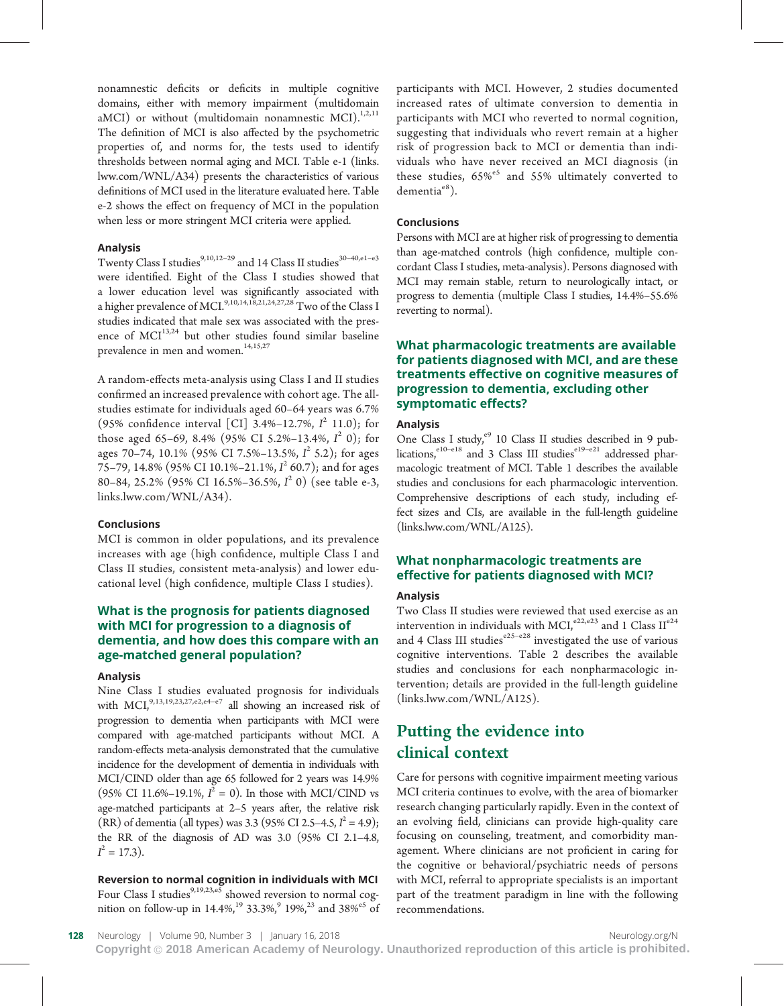nonamnestic deficits or deficits in multiple cognitive domains, either with memory impairment (multidomain aMCI) or without (multidomain nonamnestic MCI).<sup>1,2,11</sup> The definition of MCI is also affected by the psychometric properties of, and norms for, the tests used to identify thresholds between normal aging and MCI. Table e-1 [\(links.](http://links.lww.com/WNL/A34) [lww.com/WNL/A34](http://links.lww.com/WNL/A34)) presents the characteristics of various definitions of MCI used in the literature evaluated here. Table e-2 shows the effect on frequency of MCI in the population when less or more stringent MCI criteria were applied.

#### Analysis

Twenty Class I studies<sup>9,10,12-29</sup> and 14 Class II studies<sup>30-40,e1-e3</sup> were identified. Eight of the Class I studies showed that a lower education level was significantly associated with a higher prevalence of MCI. $^{9,10,14,18,21,24,27,28}$  Two of the Class I studies indicated that male sex was associated with the presence of  $MCI^{13,24}$  but other studies found similar baseline prevalence in men and women.<sup>14,15,27</sup>

A random-effects meta-analysis using Class I and II studies confirmed an increased prevalence with cohort age. The allstudies estimate for individuals aged 60–64 years was 6.7% (95% confidence interval [CI]  $3.4\%$  –12.7%,  $I^2$  11.0); for those and 65–69, 8.4% (95% CI 5.2%–13.4%  $I^2$  0); for those aged 65–69, 8.4% (95% CI 5.2%–13.4%,  $I^2$  0); for<br>2005 70–74, 10.1% (95% CI 7.5%–13.5%  $I^2$  5.2); for 2008 ages 70–74, 10.1% (95% CI 7.5%–13.5%,  $I^2$  5.2); for ages<br>75–79, 14.8% (95% CI 10.1%–21.1%,  $I^2$  60.7); and for ages  $75-79, 14.8\%$  (95% CI 10.1%–21.1%,  $I^2$  60.7); and for ages<br>80–84–25.2% (95% CI 16.5%–36.5%  $I^2$  0) (see table e-3 80–84, 25.2% (95% CI 16.5%–36.5%,  $I^2$  0) (see table e-3,<br>links lyny com (WNI / 434) [links.lww.com/WNL/A34](http://links.lww.com/WNL/A34)).

#### Conclusions

MCI is common in older populations, and its prevalence increases with age (high confidence, multiple Class I and Class II studies, consistent meta-analysis) and lower educational level (high confidence, multiple Class I studies).

#### What is the prognosis for patients diagnosed with MCI for progression to a diagnosis of dementia, and how does this compare with an age-matched general population?

#### Analysis

Nine Class I studies evaluated prognosis for individuals with MCI,  $^{9,13,19,23,27,e2,e4-e7}$  all showing an increased risk of progression to dementia when participants with MCI were compared with age-matched participants without MCI. A random-effects meta-analysis demonstrated that the cumulative incidence for the development of dementia in individuals with MCI/CIND older than age 65 followed for 2 years was 14.9% (95% CI 11.6%–19.1%,  $I^{\bar{2}} = 0$ ). In those with MCI/CIND vs<br>200 matched participants at 2–5 years after the relative risk age-matched participants at 2–5 years after, the relative risk (RR) of dementia (all types) was 3.3 (95% CI 2.5–4.5,  $I^2 = 4.9$ );<br>the BB of the diamosis of AD was 3.0 (95% CI 2.1–4.8) the RR of the diagnosis of AD was 3.0 (95% CI 2.1–4.8,  $I^2 = 17.3$ ).

Reversion to normal cognition in individuals with MCI Four Class I studies<sup>9,19,23,e5</sup> showed reversion to normal cognition on follow-up in 14.4%,<sup>19</sup> 33.3%,<sup>9</sup> 19%,<sup>23</sup> and 38%<sup>e5</sup> of participants with MCI. However, 2 studies documented increased rates of ultimate conversion to dementia in participants with MCI who reverted to normal cognition, suggesting that individuals who revert remain at a higher risk of progression back to MCI or dementia than individuals who have never received an MCI diagnosis (in these studies, 65%<sup>e5</sup> and 55% ultimately converted to dementia<sup>e8</sup>).

#### Conclusions

Persons with MCI are at higher risk of progressing to dementia than age-matched controls (high confidence, multiple concordant Class I studies, meta-analysis). Persons diagnosed with MCI may remain stable, return to neurologically intact, or progress to dementia (multiple Class I studies, 14.4%–55.6% reverting to normal).

#### What pharmacologic treatments are available for patients diagnosed with MCI, and are these treatments effective on cognitive measures of progression to dementia, excluding other symptomatic effects?

#### Analysis

One Class I study, <sup>e9</sup> 10 Class II studies described in 9 publications,<sup>e10–e18</sup> and 3 Class III studies<sup>e19–e21</sup> addressed pharmacologic treatment of MCI. Table 1 describes the available studies and conclusions for each pharmacologic intervention. Comprehensive descriptions of each study, including effect sizes and CIs, are available in the full-length guideline [\(links.lww.com/WNL/A125\)](http://links.lww.com/WNL/A125).

### What nonpharmacologic treatments are effective for patients diagnosed with MCI?

#### Analysis

Two Class II studies were reviewed that used exercise as an intervention in individuals with MCI, $^{\mathrm{e22,e23}}$  and 1 Class II $^{\mathrm{e24}}$ and 4 Class III studies<sup>e25-e28</sup> investigated the use of various cognitive interventions. Table 2 describes the available studies and conclusions for each nonpharmacologic intervention; details are provided in the full-length guideline [\(links.lww.com/WNL/A125](http://links.lww.com/WNL/A125)).

## Putting the evidence into clinical context

Care for persons with cognitive impairment meeting various MCI criteria continues to evolve, with the area of biomarker research changing particularly rapidly. Even in the context of an evolving field, clinicians can provide high-quality care focusing on counseling, treatment, and comorbidity management. Where clinicians are not proficient in caring for the cognitive or behavioral/psychiatric needs of persons with MCI, referral to appropriate specialists is an important part of the treatment paradigm in line with the following recommendations.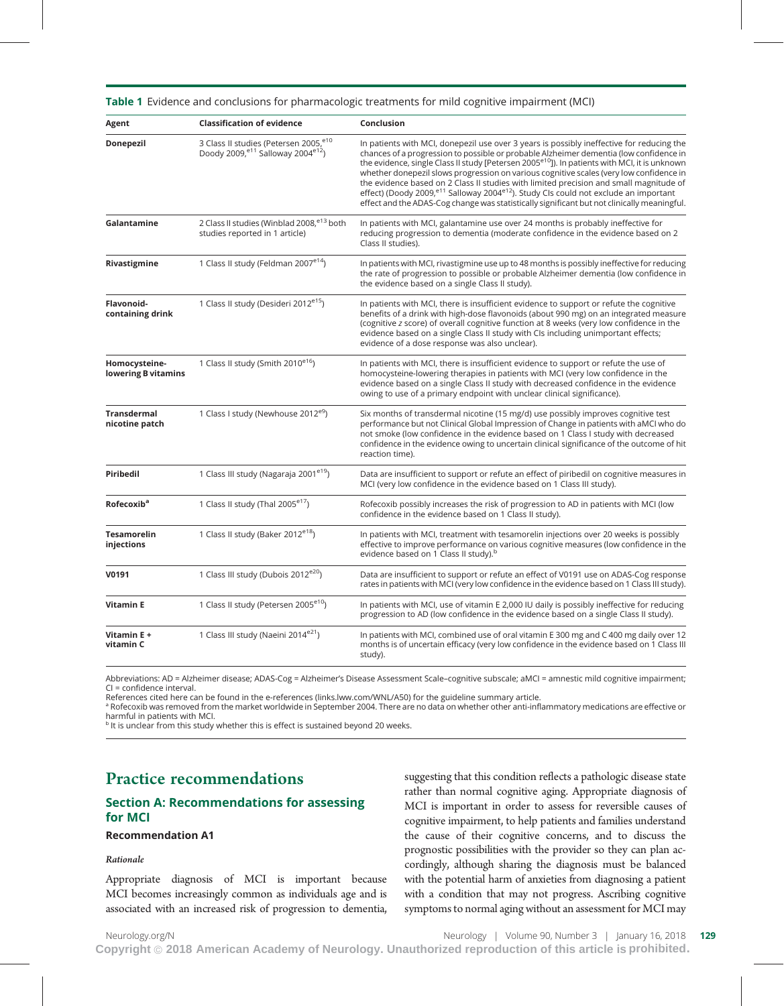| Agent                                | <b>Classification of evidence</b>                                                                               | Conclusion                                                                                                                                                                                                                                                                                                                                                                                                                                                                                                                                                                                                                                                                                        |  |
|--------------------------------------|-----------------------------------------------------------------------------------------------------------------|---------------------------------------------------------------------------------------------------------------------------------------------------------------------------------------------------------------------------------------------------------------------------------------------------------------------------------------------------------------------------------------------------------------------------------------------------------------------------------------------------------------------------------------------------------------------------------------------------------------------------------------------------------------------------------------------------|--|
| <b>Donepezil</b>                     | 3 Class II studies (Petersen 2005, <sup>e10</sup><br>Doody 2009, e <sup>11</sup> Salloway 2004 <sup>e12</sup> ) | In patients with MCI, donepezil use over 3 years is possibly ineffective for reducing the<br>chances of a progression to possible or probable Alzheimer dementia (low confidence in<br>the evidence, single Class II study [Petersen 2005 <sup>e10</sup> ]). In patients with MCI, it is unknown<br>whether donepezil slows progression on various cognitive scales (very low confidence in<br>the evidence based on 2 Class II studies with limited precision and small magnitude of effect) (Doody 2009, <sup>e11</sup> Salloway 2004 <sup>e12</sup> ). Study Cls could not exclude an important<br>effect and the ADAS-Cog change was statistically significant but not clinically meaningful. |  |
| Galantamine                          | 2 Class II studies (Winblad 2008, e13 both<br>studies reported in 1 article)                                    | In patients with MCI, galantamine use over 24 months is probably ineffective for<br>reducing progression to dementia (moderate confidence in the evidence based on 2<br>Class II studies).                                                                                                                                                                                                                                                                                                                                                                                                                                                                                                        |  |
| Rivastigmine                         | 1 Class II study (Feldman 2007 <sup>e14</sup> )                                                                 | In patients with MCI, rivastigmine use up to 48 months is possibly ineffective for reducing<br>the rate of progression to possible or probable Alzheimer dementia (low confidence in<br>the evidence based on a single Class II study).                                                                                                                                                                                                                                                                                                                                                                                                                                                           |  |
| Flavonoid-<br>containing drink       | 1 Class II study (Desideri 2012 <sup>e15</sup> )                                                                | In patients with MCI, there is insufficient evidence to support or refute the cognitive<br>benefits of a drink with high-dose flavonoids (about 990 mg) on an integrated measure<br>(cognitive z score) of overall cognitive function at 8 weeks (very low confidence in the<br>evidence based on a single Class II study with CIs including unimportant effects;<br>evidence of a dose response was also unclear).                                                                                                                                                                                                                                                                               |  |
| Homocysteine-<br>lowering B vitamins | 1 Class II study (Smith 2010 <sup>e16</sup> )                                                                   | In patients with MCI, there is insufficient evidence to support or refute the use of<br>homocysteine-lowering therapies in patients with MCI (very low confidence in the<br>evidence based on a single Class II study with decreased confidence in the evidence<br>owing to use of a primary endpoint with unclear clinical significance).                                                                                                                                                                                                                                                                                                                                                        |  |
| <b>Transdermal</b><br>nicotine patch | 1 Class I study (Newhouse 2012 <sup>e9</sup> )                                                                  | Six months of transdermal nicotine (15 mg/d) use possibly improves cognitive test<br>performance but not Clinical Global Impression of Change in patients with aMCI who do<br>not smoke (low confidence in the evidence based on 1 Class I study with decreased<br>confidence in the evidence owing to uncertain clinical significance of the outcome of hit<br>reaction time).                                                                                                                                                                                                                                                                                                                   |  |
| <b>Piribedil</b>                     | 1 Class III study (Nagaraja 2001 <sup>e19</sup> )                                                               | Data are insufficient to support or refute an effect of piribedil on cognitive measures in<br>MCI (very low confidence in the evidence based on 1 Class III study).                                                                                                                                                                                                                                                                                                                                                                                                                                                                                                                               |  |
| Rofecoxib <sup>a</sup>               | 1 Class II study (Thal 2005 <sup>e17</sup> )                                                                    | Rofecoxib possibly increases the risk of progression to AD in patients with MCI (low<br>confidence in the evidence based on 1 Class II study).                                                                                                                                                                                                                                                                                                                                                                                                                                                                                                                                                    |  |
| <b>Tesamorelin</b><br>injections     | 1 Class II study (Baker 2012 <sup>e18</sup> )                                                                   | In patients with MCI, treatment with tesamorelin injections over 20 weeks is possibly<br>effective to improve performance on various cognitive measures (low confidence in the<br>evidence based on 1 Class II study). <sup>b</sup>                                                                                                                                                                                                                                                                                                                                                                                                                                                               |  |
| V0191                                | 1 Class III study (Dubois 2012 <sup>e20</sup> )                                                                 | Data are insufficient to support or refute an effect of V0191 use on ADAS-Cog response<br>rates in patients with MCI (very low confidence in the evidence based on 1 Class III study).                                                                                                                                                                                                                                                                                                                                                                                                                                                                                                            |  |
| <b>Vitamin E</b>                     | 1 Class II study (Petersen 2005 <sup>e10</sup> )                                                                | In patients with MCI, use of vitamin E 2,000 IU daily is possibly ineffective for reducing<br>progression to AD (low confidence in the evidence based on a single Class II study).                                                                                                                                                                                                                                                                                                                                                                                                                                                                                                                |  |
| Vitamin E +<br>vitamin C             | 1 Class III study (Naeini 2014 <sup>e21</sup> )                                                                 | In patients with MCI, combined use of oral vitamin E 300 mg and C 400 mg daily over 12<br>months is of uncertain efficacy (very low confidence in the evidence based on 1 Class III<br>study).                                                                                                                                                                                                                                                                                                                                                                                                                                                                                                    |  |

#### Table 1 Evidence and conclusions for pharmacologic treatments for mild cognitive impairment (MCI)

Abbreviations: AD = Alzheimer disease; ADAS-Cog = Alzheimer's Disease Assessment Scale–cognitive subscale; aMCI = amnestic mild cognitive impairment; CI = confidence interval.

References cited here can be found in the e-references ([links.lww.com/WNL/A50](http://links.lww.com/WNL/A50)) for the guideline summary article.<br>ª Rofecoxib was removed from the market worldwide in September 2004. There are no data on whether other anti harmful in patients with MCI.

<sup>b</sup> It is unclear from this study whether this is effect is sustained beyond 20 weeks.

## Practice recommendations

#### Section A: Recommendations for assessing for MCI

#### Recommendation A1

#### Rationale

Appropriate diagnosis of MCI is important because MCI becomes increasingly common as individuals age and is associated with an increased risk of progression to dementia,

suggesting that this condition reflects a pathologic disease state rather than normal cognitive aging. Appropriate diagnosis of MCI is important in order to assess for reversible causes of cognitive impairment, to help patients and families understand the cause of their cognitive concerns, and to discuss the prognostic possibilities with the provider so they can plan accordingly, although sharing the diagnosis must be balanced with the potential harm of anxieties from diagnosing a patient with a condition that may not progress. Ascribing cognitive symptoms to normal aging without an assessment for MCI may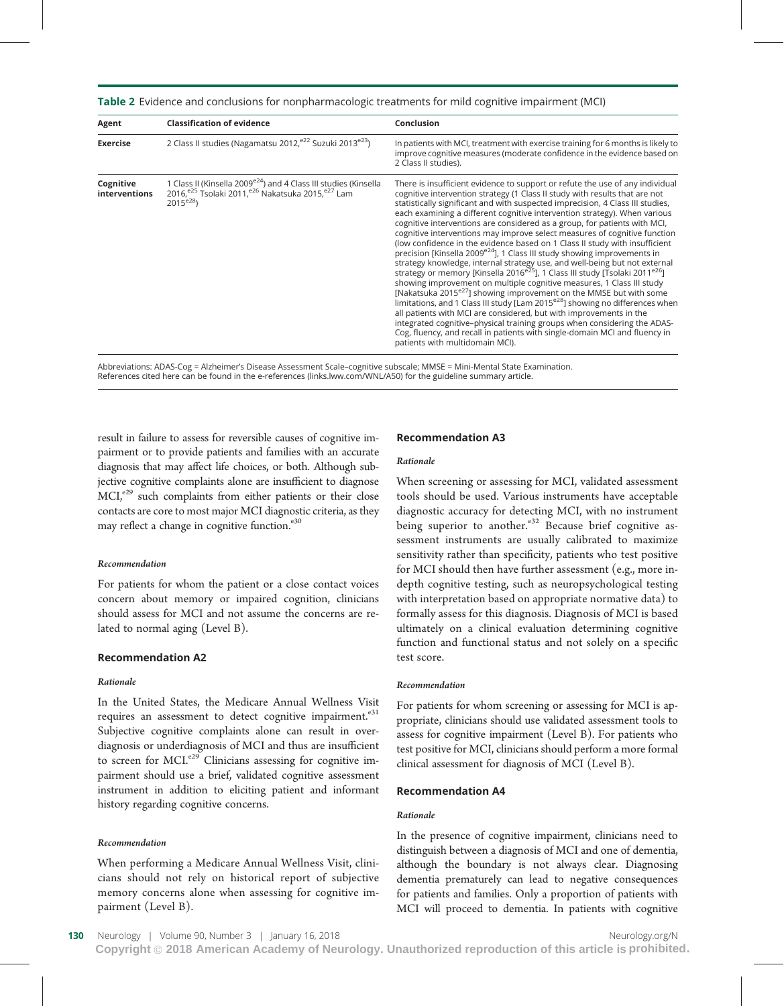| <b>Table 2</b> Evidence and conclusions for nonpharmacologic treatments for mild cognitive impairment (MCI) |  |  |  |
|-------------------------------------------------------------------------------------------------------------|--|--|--|
|                                                                                                             |  |  |  |

| Agent                             | <b>Classification of evidence</b>                                                                                                                                                    | Conclusion                                                                                                                                                                                                                                                                                                                                                                                                                                                                                                                                                                                                                                                                                                                                                                                                                                                                                                                                                                                                                                                                                                                                                                                                                                                                                                                                                                    |
|-----------------------------------|--------------------------------------------------------------------------------------------------------------------------------------------------------------------------------------|-------------------------------------------------------------------------------------------------------------------------------------------------------------------------------------------------------------------------------------------------------------------------------------------------------------------------------------------------------------------------------------------------------------------------------------------------------------------------------------------------------------------------------------------------------------------------------------------------------------------------------------------------------------------------------------------------------------------------------------------------------------------------------------------------------------------------------------------------------------------------------------------------------------------------------------------------------------------------------------------------------------------------------------------------------------------------------------------------------------------------------------------------------------------------------------------------------------------------------------------------------------------------------------------------------------------------------------------------------------------------------|
| <b>Exercise</b>                   | 2 Class II studies (Nagamatsu 2012, e <sup>22</sup> Suzuki 2013 <sup>e23</sup> )                                                                                                     | In patients with MCI, treatment with exercise training for 6 months is likely to<br>improve cognitive measures (moderate confidence in the evidence based on<br>2 Class II studies).                                                                                                                                                                                                                                                                                                                                                                                                                                                                                                                                                                                                                                                                                                                                                                                                                                                                                                                                                                                                                                                                                                                                                                                          |
| Cognitive<br><b>interventions</b> | 1 Class II (Kinsella 2009 <sup>e24</sup> ) and 4 Class III studies (Kinsella<br>2016, <sup>e25</sup> Tsolaki 2011, <sup>e26</sup> Nakatsuka 2015, <sup>e27</sup> Lam<br>$2015^{e28}$ | There is insufficient evidence to support or refute the use of any individual<br>cognitive intervention strategy (1 Class II study with results that are not<br>statistically significant and with suspected imprecision, 4 Class III studies,<br>each examining a different cognitive intervention strategy). When various<br>cognitive interventions are considered as a group, for patients with MCI,<br>cognitive interventions may improve select measures of cognitive function<br>(low confidence in the evidence based on 1 Class II study with insufficient<br>precision [Kinsella 2009 <sup>e24</sup> ], 1 Class III study showing improvements in<br>strategy knowledge, internal strategy use, and well-being but not external<br>strategy or memory [Kinsella 2016 <sup>e25</sup> ], 1 Class III study [Tsolaki 2011 <sup>e26</sup> ]<br>showing improvement on multiple cognitive measures, 1 Class III study<br>[Nakatsuka 2015 <sup>e27</sup> ] showing improvement on the MMSE but with some<br>limitations, and 1 Class III study [Lam 2015 <sup>e28</sup> ] showing no differences when<br>all patients with MCI are considered, but with improvements in the<br>integrated cognitive-physical training groups when considering the ADAS-<br>Cog, fluency, and recall in patients with single-domain MCI and fluency in<br>patients with multidomain MCI). |

Abbreviations: ADAS-Cog = Alzheimer's Disease Assessment Scale–cognitive subscale; MMSE = Mini-Mental State Examination. References cited here can be found in the e-references [\(links.lww.com/WNL/A50](http://links.lww.com/WNL/A50)) for the guideline summary article.

result in failure to assess for reversible causes of cognitive impairment or to provide patients and families with an accurate diagnosis that may affect life choices, or both. Although subjective cognitive complaints alone are insufficient to diagnose  $MCI,^{e29}$  such complaints from either patients or their close contacts are core to most major MCI diagnostic criteria, as they may reflect a change in cognitive function.<sup>e30</sup>

#### Recommendation

For patients for whom the patient or a close contact voices concern about memory or impaired cognition, clinicians should assess for MCI and not assume the concerns are related to normal aging (Level B).

#### Recommendation A2

#### Rationale

In the United States, the Medicare Annual Wellness Visit requires an assessment to detect cognitive impairment.<sup>e31</sup> Subjective cognitive complaints alone can result in overdiagnosis or underdiagnosis of MCI and thus are insufficient to screen for  $MCI.^{e29}$  Clinicians assessing for cognitive impairment should use a brief, validated cognitive assessment instrument in addition to eliciting patient and informant history regarding cognitive concerns.

#### Recommendation

When performing a Medicare Annual Wellness Visit, clinicians should not rely on historical report of subjective memory concerns alone when assessing for cognitive impairment (Level B).

#### Recommendation A3

#### Rationale

When screening or assessing for MCI, validated assessment tools should be used. Various instruments have acceptable diagnostic accuracy for detecting MCI, with no instrument being superior to another.<sup>e32</sup> Because brief cognitive assessment instruments are usually calibrated to maximize sensitivity rather than specificity, patients who test positive for MCI should then have further assessment (e.g., more indepth cognitive testing, such as neuropsychological testing with interpretation based on appropriate normative data) to formally assess for this diagnosis. Diagnosis of MCI is based ultimately on a clinical evaluation determining cognitive function and functional status and not solely on a specific test score.

#### Recommendation

For patients for whom screening or assessing for MCI is appropriate, clinicians should use validated assessment tools to assess for cognitive impairment (Level B). For patients who test positive for MCI, clinicians should perform a more formal clinical assessment for diagnosis of MCI (Level B).

#### Recommendation A4

#### Rationale

In the presence of cognitive impairment, clinicians need to distinguish between a diagnosis of MCI and one of dementia, although the boundary is not always clear. Diagnosing dementia prematurely can lead to negative consequences for patients and families. Only a proportion of patients with MCI will proceed to dementia. In patients with cognitive

130 Neurology | Volume 90, Number 3 | January 16, 2018 [Neurology.org/N](http://neurology.org/n)

Copyright © 2018 American Academy of Neurology. Unauthorized reproduction of this article is prohibited.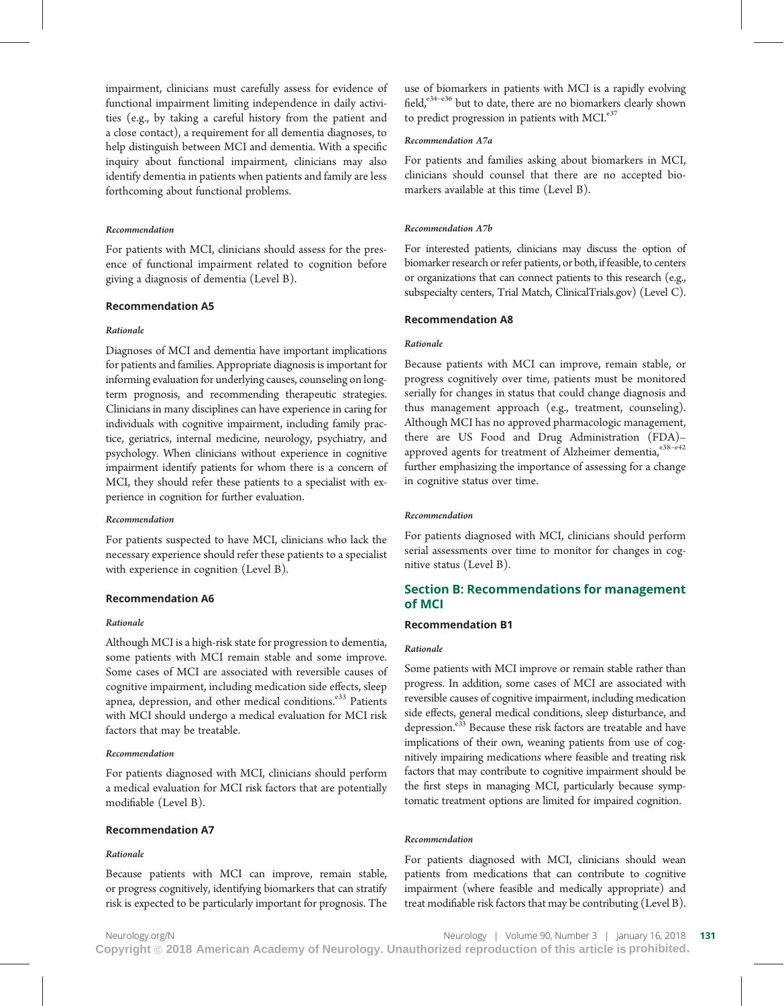impairment, clinicians must carefully assess for evidence of functional impairment limiting independence in daily activities (e.g., by taking a careful history from the patient and a close contact), a requirement for all dementia diagnoses, to help distinguish between MCI and dementia. With a specific inquiry about functional impairment, clinicians may also identify dementia in patients when patients and family are less forthcoming about functional problems.

#### Recommendation

For patients with MCI, clinicians should assess for the presence of functional impairment related to cognition before giving a diagnosis of dementia (Level B).

#### Recommendation A5

#### Rationale

Diagnoses of MCI and dementia have important implications for patients and families. Appropriate diagnosis is important for informing evaluation for underlying causes, counseling on longterm prognosis, and recommending therapeutic strategies. Clinicians in many disciplines can have experience in caring for individuals with cognitive impairment, including family practice, geriatrics, internal medicine, neurology, psychiatry, and psychology. When clinicians without experience in cognitive impairment identify patients for whom there is a concern of MCI, they should refer these patients to a specialist with experience in cognition for further evaluation.

#### Recommendation

For patients suspected to have MCI, clinicians who lack the necessary experience should refer these patients to a specialist with experience in cognition (Level B).

#### Recommendation A6

#### Rationale

Although MCI is a high-risk state for progression to dementia, some patients with MCI remain stable and some improve. Some cases of MCI are associated with reversible causes of cognitive impairment, including medication side effects, sleep apnea, depression, and other medical conditions.<sup>e33</sup> Patients with MCI should undergo a medical evaluation for MCI risk factors that may be treatable.

#### Recommendation

For patients diagnosed with MCI, clinicians should perform a medical evaluation for MCI risk factors that are potentially modifiable (Level B).

#### Recommendation A7

#### Rationale

Because patients with MCI can improve, remain stable, or progress cognitively, identifying biomarkers that can stratify risk is expected to be particularly important for prognosis. The use of biomarkers in patients with MCI is a rapidly evolving field, $e^{34-e36}$  but to date, there are no biomarkers clearly shown to predict progression in patients with  $MCI.^{e37}$ 

#### Recommendation A7a

For patients and families asking about biomarkers in MCI, clinicians should counsel that there are no accepted biomarkers available at this time (Level B).

#### Recommendation A7b

For interested patients, clinicians may discuss the option of biomarker research or refer patients, or both, if feasible, to centers or organizations that can connect patients to this research (e.g., subspecialty centers, Trial Match, [ClinicalTrials.gov\)](http://ClinicalTrials.gov) (Level C).

#### Recommendation A8

#### Rationale

Because patients with MCI can improve, remain stable, or progress cognitively over time, patients must be monitored serially for changes in status that could change diagnosis and thus management approach (e.g., treatment, counseling). Although MCI has no approved pharmacologic management, there are US Food and Drug Administration (FDA)– approved agents for treatment of Alzheimer dementia,<sup>e38-e42</sup> further emphasizing the importance of assessing for a change in cognitive status over time.

#### Recommendation

For patients diagnosed with MCI, clinicians should perform serial assessments over time to monitor for changes in cognitive status (Level B).

#### Section B: Recommendations for management of MCI

#### Recommendation B1

#### Rationale

Some patients with MCI improve or remain stable rather than progress. In addition, some cases of MCI are associated with reversible causes of cognitive impairment, including medication side effects, general medical conditions, sleep disturbance, and depression.<sup>e33</sup> Because these risk factors are treatable and have implications of their own, weaning patients from use of cognitively impairing medications where feasible and treating risk factors that may contribute to cognitive impairment should be the first steps in managing MCI, particularly because symptomatic treatment options are limited for impaired cognition.

#### Recommendation

For patients diagnosed with MCI, clinicians should wean patients from medications that can contribute to cognitive impairment (where feasible and medically appropriate) and treat modifiable risk factors that may be contributing (Level B).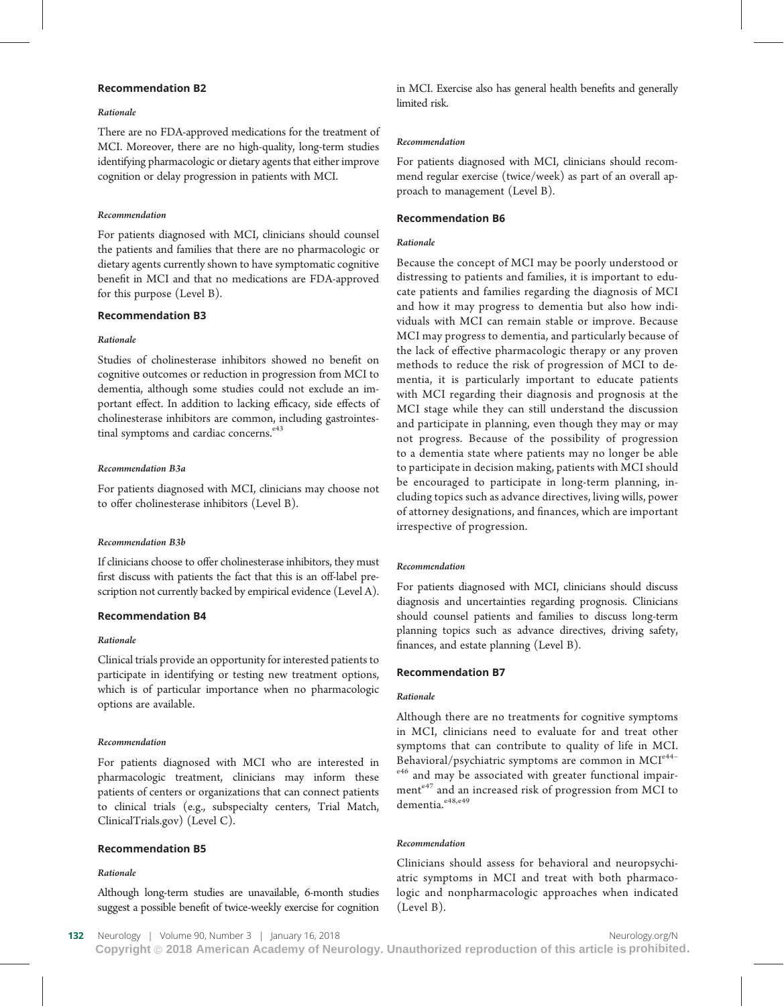#### Recommendation B2

#### Rationale

There are no FDA-approved medications for the treatment of MCI. Moreover, there are no high-quality, long-term studies identifying pharmacologic or dietary agents that either improve cognition or delay progression in patients with MCI.

#### Recommendation

For patients diagnosed with MCI, clinicians should counsel the patients and families that there are no pharmacologic or dietary agents currently shown to have symptomatic cognitive benefit in MCI and that no medications are FDA-approved for this purpose (Level B).

#### Recommendation B3

#### Rationale

Studies of cholinesterase inhibitors showed no benefit on cognitive outcomes or reduction in progression from MCI to dementia, although some studies could not exclude an important effect. In addition to lacking efficacy, side effects of cholinesterase inhibitors are common, including gastrointestinal symptoms and cardiac concerns.<sup>e43</sup>

#### Recommendation B3a

For patients diagnosed with MCI, clinicians may choose not to offer cholinesterase inhibitors (Level B).

#### Recommendation B3b

If clinicians choose to offer cholinesterase inhibitors, they must first discuss with patients the fact that this is an off-label prescription not currently backed by empirical evidence (Level A).

#### Recommendation B4

#### Rationale

Clinical trials provide an opportunity for interested patients to participate in identifying or testing new treatment options, which is of particular importance when no pharmacologic options are available.

#### Recommendation

For patients diagnosed with MCI who are interested in pharmacologic treatment, clinicians may inform these patients of centers or organizations that can connect patients to clinical trials (e.g., subspecialty centers, Trial Match, [ClinicalTrials.gov\)](http://ClinicalTrials.gov) (Level C).

#### Recommendation B5

#### Rationale

Although long-term studies are unavailable, 6-month studies suggest a possible benefit of twice-weekly exercise for cognition in MCI. Exercise also has general health benefits and generally limited risk.

#### Recommendation

For patients diagnosed with MCI, clinicians should recommend regular exercise (twice/week) as part of an overall approach to management (Level B).

#### Recommendation B6

#### Rationale

Because the concept of MCI may be poorly understood or distressing to patients and families, it is important to educate patients and families regarding the diagnosis of MCI and how it may progress to dementia but also how individuals with MCI can remain stable or improve. Because MCI may progress to dementia, and particularly because of the lack of effective pharmacologic therapy or any proven methods to reduce the risk of progression of MCI to dementia, it is particularly important to educate patients with MCI regarding their diagnosis and prognosis at the MCI stage while they can still understand the discussion and participate in planning, even though they may or may not progress. Because of the possibility of progression to a dementia state where patients may no longer be able to participate in decision making, patients with MCI should be encouraged to participate in long-term planning, including topics such as advance directives, living wills, power of attorney designations, and finances, which are important irrespective of progression.

#### Recommendation

For patients diagnosed with MCI, clinicians should discuss diagnosis and uncertainties regarding prognosis. Clinicians should counsel patients and families to discuss long-term planning topics such as advance directives, driving safety, finances, and estate planning (Level B).

#### Recommendation B7

#### Rationale

Although there are no treatments for cognitive symptoms in MCI, clinicians need to evaluate for and treat other symptoms that can contribute to quality of life in MCI. Behavioral/psychiatric symptoms are common in MCI<sup>e44-</sup> <sup>e46</sup> and may be associated with greater functional impairment<sup>e47</sup> and an increased risk of progression from MCI to dementia.<sup>e48,e49</sup>

#### Recommendation

Clinicians should assess for behavioral and neuropsychiatric symptoms in MCI and treat with both pharmacologic and nonpharmacologic approaches when indicated (Level B).

132 Neurology | Volume 90, Number 3 | January 16, 2018 [Neurology.org/N](http://neurology.org/n)

Copyright © 2018 American Academy of Neurology. Unauthorized reproduction of this article is prohibited.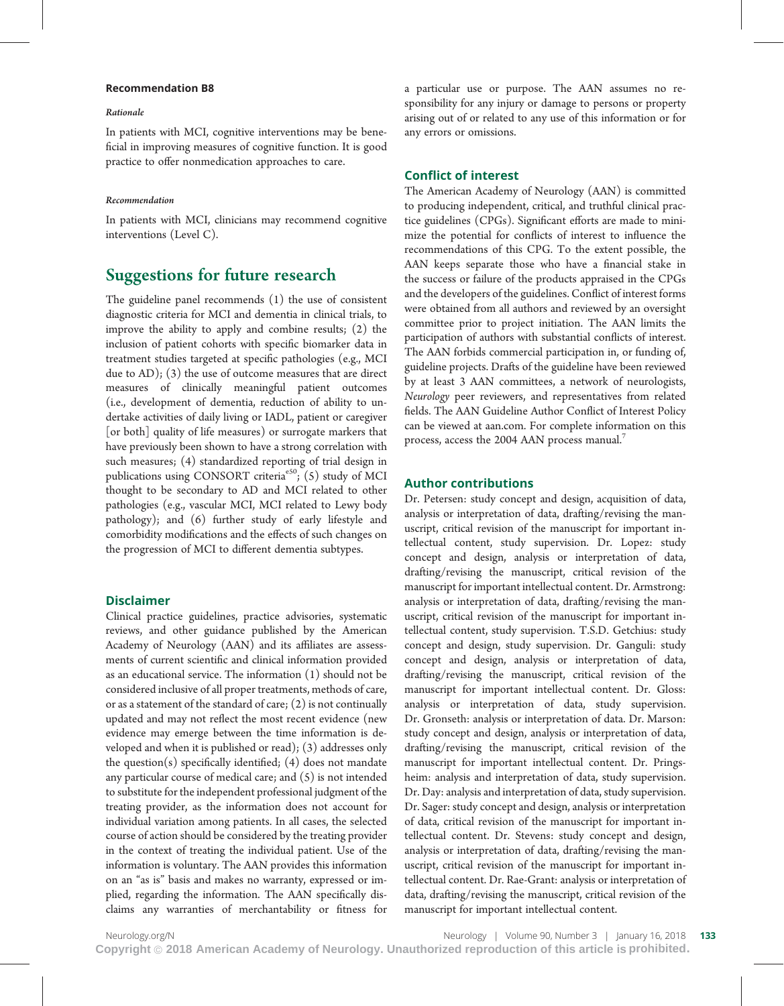#### Recommendation B8

#### Rationale

In patients with MCI, cognitive interventions may be beneficial in improving measures of cognitive function. It is good practice to offer nonmedication approaches to care.

#### Recommendation

In patients with MCI, clinicians may recommend cognitive interventions (Level C).

## Suggestions for future research

The guideline panel recommends (1) the use of consistent diagnostic criteria for MCI and dementia in clinical trials, to improve the ability to apply and combine results; (2) the inclusion of patient cohorts with specific biomarker data in treatment studies targeted at specific pathologies (e.g., MCI due to AD); (3) the use of outcome measures that are direct measures of clinically meaningful patient outcomes (i.e., development of dementia, reduction of ability to undertake activities of daily living or IADL, patient or caregiver [or both] quality of life measures) or surrogate markers that have previously been shown to have a strong correlation with such measures; (4) standardized reporting of trial design in publications using CONSORT criteria<sup>e50</sup>; (5) study of MCI thought to be secondary to AD and MCI related to other pathologies (e.g., vascular MCI, MCI related to Lewy body pathology); and (6) further study of early lifestyle and comorbidity modifications and the effects of such changes on the progression of MCI to different dementia subtypes.

#### Disclaimer

Clinical practice guidelines, practice advisories, systematic reviews, and other guidance published by the American Academy of Neurology (AAN) and its affiliates are assessments of current scientific and clinical information provided as an educational service. The information (1) should not be considered inclusive of all proper treatments, methods of care, or as a statement of the standard of care; (2) is not continually updated and may not reflect the most recent evidence (new evidence may emerge between the time information is developed and when it is published or read); (3) addresses only the question(s) specifically identified;  $(4)$  does not mandate any particular course of medical care; and (5) is not intended to substitute for the independent professional judgment of the treating provider, as the information does not account for individual variation among patients. In all cases, the selected course of action should be considered by the treating provider in the context of treating the individual patient. Use of the information is voluntary. The AAN provides this information on an "as is" basis and makes no warranty, expressed or implied, regarding the information. The AAN specifically disclaims any warranties of merchantability or fitness for a particular use or purpose. The AAN assumes no responsibility for any injury or damage to persons or property arising out of or related to any use of this information or for any errors or omissions.

#### Conflict of interest

The American Academy of Neurology (AAN) is committed to producing independent, critical, and truthful clinical practice guidelines (CPGs). Significant efforts are made to minimize the potential for conflicts of interest to influence the recommendations of this CPG. To the extent possible, the AAN keeps separate those who have a financial stake in the success or failure of the products appraised in the CPGs and the developers of the guidelines. Conflict of interest forms were obtained from all authors and reviewed by an oversight committee prior to project initiation. The AAN limits the participation of authors with substantial conflicts of interest. The AAN forbids commercial participation in, or funding of, guideline projects. Drafts of the guideline have been reviewed by at least 3 AAN committees, a network of neurologists, Neurology peer reviewers, and representatives from related fields. The AAN Guideline Author Conflict of Interest Policy can be viewed at [aan.com](http://www.aan.com). For complete information on this process, access the 2004 AAN process manual.<sup>7</sup>

#### Author contributions

Dr. Petersen: study concept and design, acquisition of data, analysis or interpretation of data, drafting/revising the manuscript, critical revision of the manuscript for important intellectual content, study supervision. Dr. Lopez: study concept and design, analysis or interpretation of data, drafting/revising the manuscript, critical revision of the manuscript for important intellectual content. Dr. Armstrong: analysis or interpretation of data, drafting/revising the manuscript, critical revision of the manuscript for important intellectual content, study supervision. T.S.D. Getchius: study concept and design, study supervision. Dr. Ganguli: study concept and design, analysis or interpretation of data, drafting/revising the manuscript, critical revision of the manuscript for important intellectual content. Dr. Gloss: analysis or interpretation of data, study supervision. Dr. Gronseth: analysis or interpretation of data. Dr. Marson: study concept and design, analysis or interpretation of data, drafting/revising the manuscript, critical revision of the manuscript for important intellectual content. Dr. Pringsheim: analysis and interpretation of data, study supervision. Dr. Day: analysis and interpretation of data, study supervision. Dr. Sager: study concept and design, analysis or interpretation of data, critical revision of the manuscript for important intellectual content. Dr. Stevens: study concept and design, analysis or interpretation of data, drafting/revising the manuscript, critical revision of the manuscript for important intellectual content. Dr. Rae-Grant: analysis or interpretation of data, drafting/revising the manuscript, critical revision of the manuscript for important intellectual content.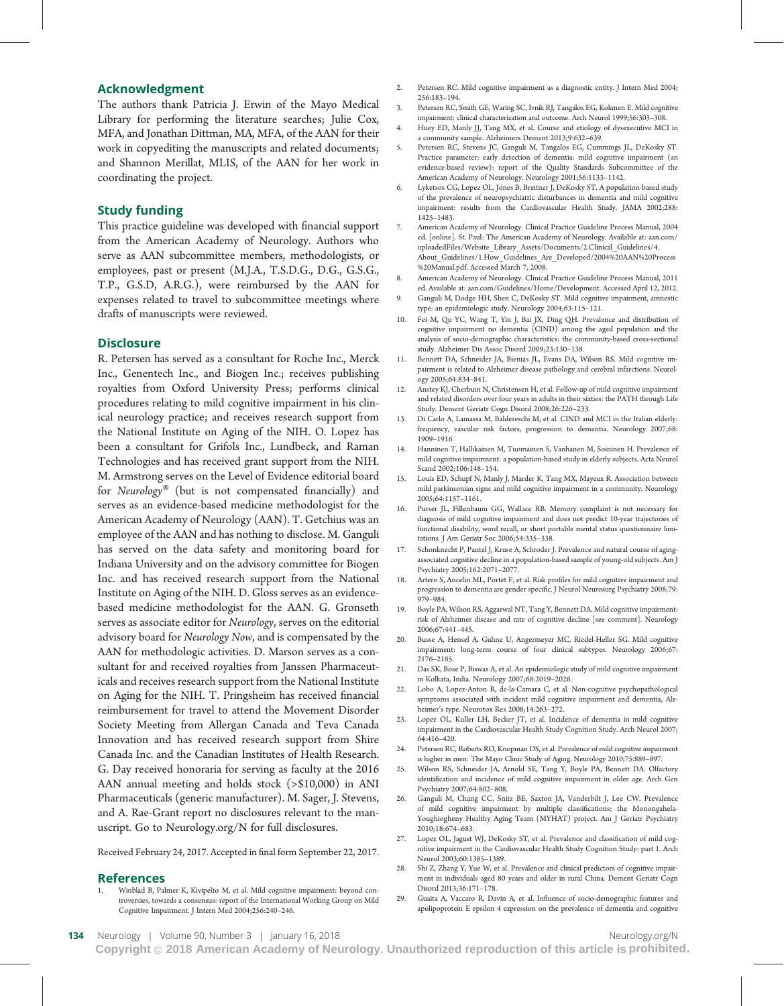#### Acknowledgment

The authors thank Patricia J. Erwin of the Mayo Medical Library for performing the literature searches; Julie Cox, MFA, and Jonathan Dittman, MA, MFA, of the AAN for their work in copyediting the manuscripts and related documents; and Shannon Merillat, MLIS, of the AAN for her work in coordinating the project.

#### Study funding

This practice guideline was developed with financial support from the American Academy of Neurology. Authors who serve as AAN subcommittee members, methodologists, or employees, past or present (M.J.A., T.S.D.G., D.G., G.S.G., T.P., G.S.D, A.R.G.), were reimbursed by the AAN for expenses related to travel to subcommittee meetings where drafts of manuscripts were reviewed.

#### **Disclosure**

R. Petersen has served as a consultant for Roche Inc., Merck Inc., Genentech Inc., and Biogen Inc.; receives publishing royalties from Oxford University Press; performs clinical procedures relating to mild cognitive impairment in his clinical neurology practice; and receives research support from the National Institute on Aging of the NIH. O. Lopez has been a consultant for Grifols Inc., Lundbeck, and Raman Technologies and has received grant support from the NIH. M. Armstrong serves on the Level of Evidence editorial board for Neurology® (but is not compensated financially) and serves as an evidence-based medicine methodologist for the American Academy of Neurology (AAN). T. Getchius was an employee of the AAN and has nothing to disclose. M. Ganguli has served on the data safety and monitoring board for Indiana University and on the advisory committee for Biogen Inc. and has received research support from the National Institute on Aging of the NIH. D. Gloss serves as an evidencebased medicine methodologist for the AAN. G. Gronseth serves as associate editor for Neurology, serves on the editorial advisory board for Neurology Now, and is compensated by the AAN for methodologic activities. D. Marson serves as a consultant for and received royalties from Janssen Pharmaceuticals and receives research support from the National Institute on Aging for the NIH. T. Pringsheim has received financial reimbursement for travel to attend the Movement Disorder Society Meeting from Allergan Canada and Teva Canada Innovation and has received research support from Shire Canada Inc. and the Canadian Institutes of Health Research. G. Day received honoraria for serving as faculty at the 2016 AAN annual meeting and holds stock (>\$10,000) in ANI Pharmaceuticals (generic manufacturer). M. Sager, J. Stevens, and A. Rae-Grant report no disclosures relevant to the manuscript. Go to [Neurology.org/N](http://n.neurology.org/lookup/doi/10.1212/WNL.0000000000004826) for full disclosures.

Received February 24, 2017. Accepted in final form September 22, 2017.

#### References

1. Winblad B, Palmer K, Kivipelto M, et al. Mild cognitive impairment: beyond controversies, towards a consensus: report of the International Working Group on Mild Cognitive Impairment. J Intern Med 2004;256:240–246.

- 2. Petersen RC. Mild cognitive impairment as a diagnostic entity. J Intern Med 2004; 256:183–194.
- 3. Petersen RC, Smith GE, Waring SC, Ivnik RJ, Tangalos EG, Kokmen E. Mild cognitive impairment: clinical characterization and outcome. Arch Neurol 1999;56:303–308.
- 4. Huey ED, Manly JJ, Tang MX, et al. Course and etiology of dysexecutive MCI in a community sample. Alzheimers Dement 2013;9:632–639.
- 5. Petersen RC, Stevens JC, Ganguli M, Tangalos EG, Cummings JL, DeKosky ST. Practice parameter: early detection of dementia: mild cognitive impairment (an evidence-based review): report of the Quality Standards Subcommittee of the American Academy of Neurology. Neurology 2001;56:1133–1142.
- 6. Lyketsos CG, Lopez OL, Jones B, Breitner J, DeKosky ST. A population-based study of the prevalence of neuropsychiatric disturbances in dementia and mild cognitive impairment: results from the Cardiovascular Health Study. JAMA 2002;288: 1425–1483.
- 7. American Academy of Neurology. Clinical Practice Guideline Process Manual, 2004 ed. [online]. St. Paul: The American Academy of Neurology. Available at: [aan.com/](https://www.aan.com/uploadedFiles/Website_Library_Assets/Documents/2.Clinical_Guidelines/4.About_Guidelines/1.How_Guidelines_Are_Developed/2004%20AAN%20Process%20Manual.pdf) [uploadedFiles/Website\\_Library\\_Assets/Documents/2.Clinical\\_Guidelines/4.](https://www.aan.com/uploadedFiles/Website_Library_Assets/Documents/2.Clinical_Guidelines/4.About_Guidelines/1.How_Guidelines_Are_Developed/2004%20AAN%20Process%20Manual.pdf) About Guidelines/1.How Guidelines Are Developed/2004%20AAN%20Process [%20Manual.pdf](https://www.aan.com/uploadedFiles/Website_Library_Assets/Documents/2.Clinical_Guidelines/4.About_Guidelines/1.How_Guidelines_Are_Developed/2004%20AAN%20Process%20Manual.pdf). Accessed March 7, 2008.
- 8. American Academy of Neurology. Clinical Practice Guideline Process Manual, 2011 ed. Available at: [aan.com/Guidelines/Home/Development](https://www.aan.com/Guidelines/Home/Development). Accessed April 12, 2012.
- 9. Ganguli M, Dodge HH, Shen C, DeKosky ST. Mild cognitive impairment, amnestic type: an epidemiologic study. Neurology 2004;63:115–121.
- 10. Fei M, Qu YC, Wang T, Yin J, Bai JX, Ding QH. Prevalence and distribution of cognitive impairment no dementia (CIND) among the aged population and the analysis of socio-demographic characteristics: the community-based cross-sectional study. Alzheimer Dis Assoc Disord 2009;23:130–138.
- 11. Bennett DA, Schneider JA, Bienias JL, Evans DA, Wilson RS. Mild cognitive impairment is related to Alzheimer disease pathology and cerebral infarctions. Neurology 2005;64:834–841.
- 12. Anstey KJ, Cherbuin N, Christensen H, et al. Follow-up of mild cognitive impairment and related disorders over four years in adults in their sixties: the PATH through Life Study. Dement Geriatr Cogn Disord 2008;26:226–233.
- 13. Di Carlo A, Lamassa M, Baldereschi M, et al. CIND and MCI in the Italian elderly: frequency, vascular risk factors, progression to dementia. Neurology 2007;68: 1909–1916.
- 14. Hanninen T, Hallikainen M, Tuomainen S, Vanhanen M, Soininen H. Prevalence of mild cognitive impairment: a population-based study in elderly subjects. Acta Neurol Scand 2002;106:148–154.
- 15. Louis ED, Schupf N, Manly J, Marder K, Tang MX, Mayeux R. Association between mild parkinsonian signs and mild cognitive impairment in a community. Neurology 2005;64:1157–1161.
- 16. Purser JL, Fillenbaum GG, Wallace RB. Memory complaint is not necessary for diagnosis of mild cognitive impairment and does not predict 10-year trajectories of functional disability, word recall, or short portable mental status questionnaire limitations. J Am Geriatr Soc 2006;54:335–338.
- 17. Schonknecht P, Pantel J, Kruse A, Schroder J. Prevalence and natural course of agingassociated cognitive decline in a population-based sample of young-old subjects. Am J Psychiatry 2005;162:2071–2077.
- 18. Artero S, Ancelin ML, Portet F, et al. Risk profiles for mild cognitive impairment and progression to dementia are gender specific. J Neurol Neurosurg Psychiatry 2008;79: 979–984.
- 19. Boyle PA, Wilson RS, Aggarwal NT, Tang Y, Bennett DA. Mild cognitive impairment: risk of Alzheimer disease and rate of cognitive decline [see comment]. Neurology 2006;67:441–445.
- 20. Busse A, Hensel A, Guhne U, Angermeyer MC, Riedel-Heller SG. Mild cognitive impairment: long-term course of four clinical subtypes. Neurology 2006;67: 2176–2185.
- 21. Das SK, Bose P, Biswas A, et al. An epidemiologic study of mild cognitive impairment in Kolkata, India. Neurology 2007;68:2019–2026.
- 22. Lobo A, Lopez-Anton R, de-la-Camara C, et al. Non-cognitive psychopathological symptoms associated with incident mild cognitive impairment and dementia, Alzheimer's type. Neurotox Res 2008;14:263–272.
- 23. Lopez OL, Kuller LH, Becker JT, et al. Incidence of dementia in mild cognitive impairment in the Cardiovascular Health Study Cognition Study. Arch Neurol 2007; 64:416–420.
- 24. Petersen RC, Roberts RO, Knopman DS, et al. Prevalence of mild cognitive impairment is higher in men: The Mayo Clinic Study of Aging. Neurology 2010;75:889–897.
- 25. Wilson RS, Schneider JA, Arnold SE, Tang Y, Boyle PA, Bennett DA. Olfactory identification and incidence of mild cognitive impairment in older age. Arch Gen Psychiatry 2007;64:802–808.
- 26. Ganguli M, Chang CC, Snitz BE, Saxton JA, Vanderbilt J, Lee CW. Prevalence of mild cognitive impairment by multiple classifications: the Monongahela-Youghiogheny Healthy Aging Team (MYHAT) project. Am J Geriatr Psychiatry 2010;18:674–683.
- 27. Lopez OL, Jagust WJ, DeKosky ST, et al. Prevalence and classification of mild cognitive impairment in the Cardiovascular Health Study Cognition Study: part 1. Arch Neurol 2003;60:1385–1389.
- 28. Shi Z, Zhang Y, Yue W, et al. Prevalence and clinical predictors of cognitive impairment in individuals aged 80 years and older in rural China. Dement Geriatr Cogn Disord 2013;36:171–178.
- 29. Guaita A, Vaccaro R, Davin A, et al. Influence of socio-demographic features and apolipoprotein E epsilon 4 expression on the prevalence of dementia and cognitive

134 Neurology | Volume 90, Number 3 | January 16, 2018 [Neurology.org/N](http://neurology.org/n)

Copyright © 2018 American Academy of Neurology. Unauthorized reproduction of this article is prohibited.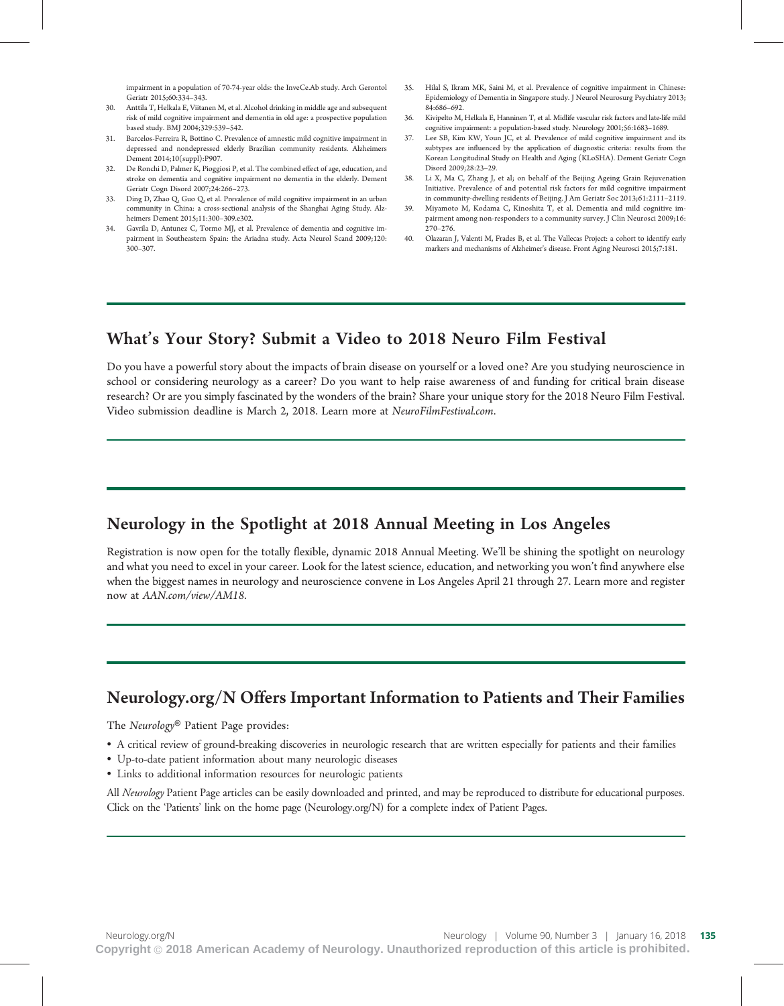impairment in a population of 70-74-year olds: the InveCe.Ab study. Arch Gerontol Geriatr 2015;60:334–343.

- 30. Anttila T, Helkala E, Viitanen M, et al. Alcohol drinking in middle age and subsequent risk of mild cognitive impairment and dementia in old age: a prospective population based study. BMJ 2004;329:539–542.
- 31. Barcelos-Ferreira R, Bottino C. Prevalence of amnestic mild cognitive impairment in depressed and nondepressed elderly Brazilian community residents. Alzheimers Dement 2014;10(suppl):P907.
- 32. De Ronchi D, Palmer K, Pioggiosi P, et al. The combined effect of age, education, and stroke on dementia and cognitive impairment no dementia in the elderly. Dement Geriatr Cogn Disord 2007;24:266–273.
- 33. Ding D, Zhao Q, Guo Q, et al. Prevalence of mild cognitive impairment in an urban community in China: a cross-sectional analysis of the Shanghai Aging Study. Alzheimers Dement 2015;11:300–309.e302.
- 34. Gavrila D, Antunez C, Tormo MJ, et al. Prevalence of dementia and cognitive impairment in Southeastern Spain: the Ariadna study. Acta Neurol Scand 2009;120: 300–307.
- 35. Hilal S, Ikram MK, Saini M, et al. Prevalence of cognitive impairment in Chinese: Epidemiology of Dementia in Singapore study. J Neurol Neurosurg Psychiatry 2013; 84:686–692.
- 36. Kivipelto M, Helkala E, Hanninen T, et al. Midlife vascular risk factors and late-life mild cognitive impairment: a population-based study. Neurology 2001;56:1683–1689.
- 37. Lee SB, Kim KW, Youn JC, et al. Prevalence of mild cognitive impairment and its subtypes are influenced by the application of diagnostic criteria: results from the Korean Longitudinal Study on Health and Aging (KLoSHA). Dement Geriatr Cogn Disord 2009;28:23–29.
- 38. Li X, Ma C, Zhang J, et al; on behalf of the Beijing Ageing Grain Rejuvenation Initiative. Prevalence of and potential risk factors for mild cognitive impairment in community-dwelling residents of Beijing. J Am Geriatr Soc 2013;61:2111–2119.
- 39. Miyamoto M, Kodama C, Kinoshita T, et al. Dementia and mild cognitive impairment among non-responders to a community survey. J Clin Neurosci 2009;16: 270–276.
- 40. Olazaran J, Valenti M, Frades B, et al. The Vallecas Project: a cohort to identify early markers and mechanisms of Alzheimer's disease. Front Aging Neurosci 2015;7:181.

## What's Your Story? Submit a Video to 2018 Neuro Film Festival

Do you have a powerful story about the impacts of brain disease on yourself or a loved one? Are you studying neuroscience in school or considering neurology as a career? Do you want to help raise awareness of and funding for critical brain disease research? Or are you simply fascinated by the wonders of the brain? Share your unique story for the 2018 Neuro Film Festival. Video submission deadline is March 2, 2018. Learn more at NeuroFilmFestival.com.

## Neurology in the Spotlight at 2018 Annual Meeting in Los Angeles

Registration is now open for the totally flexible, dynamic 2018 Annual Meeting. We'll be shining the spotlight on neurology and what you need to excel in your career. Look for the latest science, education, and networking you won't find anywhere else when the biggest names in neurology and neuroscience convene in Los Angeles April 21 through 27. Learn more and register now at AAN.com/view/AM18.

## Neurology.org/N Offers Important Information to Patients and Their Families

The Neurology® Patient Page provides:

- A critical review of ground-breaking discoveries in neurologic research that are written especially for patients and their families
- Up-to-date patient information about many neurologic diseases
- Links to additional information resources for neurologic patients

All Neurology Patient Page articles can be easily downloaded and printed, and may be reproduced to distribute for educational purposes. Click on the 'Patients' link on the home page (Neurology.org/N) for a complete index of Patient Pages.